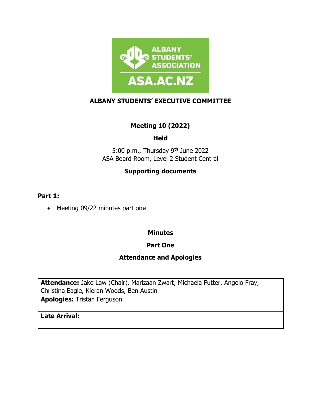

### **ALBANY STUDENTS' EXECUTIVE COMMITTEE**

# **Meeting 10 (2022)**

# **Held**

5:00 p.m., Thursday 9th June 2022 ASA Board Room, Level 2 Student Central

# **Supporting documents**

#### **Part 1:**

• Meeting 09/22 minutes part one

## **Minutes**

## **Part One**

#### **Attendance and Apologies**

**Attendance:** Jake Law (Chair), Marizaan Zwart, Michaela Futter, Angelo Fray, Christina Eagle, Kieran Woods, Ben Austin

**Apologies:** Tristan Ferguson

**Late Arrival:**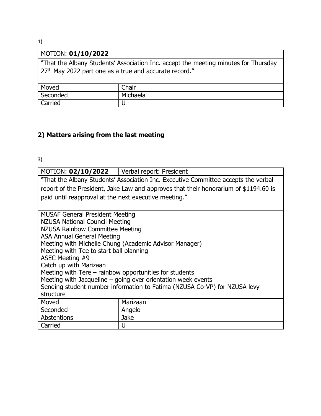1)

| MOTION: 01/10/2022                                                                  |          |  |
|-------------------------------------------------------------------------------------|----------|--|
| "That the Albany Students' Association Inc. accept the meeting minutes for Thursday |          |  |
| 27 <sup>th</sup> May 2022 part one as a true and accurate record."                  |          |  |
|                                                                                     |          |  |
| Moved                                                                               | Chair    |  |
| Seconded                                                                            | Michaela |  |
| Carried                                                                             |          |  |
|                                                                                     |          |  |

# **2) Matters arising from the last meeting**

3)

| MOTION: 02/10/2022   Verbal report: President                                        |                                                        |  |
|--------------------------------------------------------------------------------------|--------------------------------------------------------|--|
| "That the Albany Students' Association Inc. Executive Committee accepts the verbal   |                                                        |  |
| report of the President, Jake Law and approves that their honorarium of \$1194.60 is |                                                        |  |
| paid until reapproval at the next executive meeting."                                |                                                        |  |
|                                                                                      |                                                        |  |
| <b>MUSAF General President Meeting</b>                                               |                                                        |  |
| <b>NZUSA National Council Meeting</b>                                                |                                                        |  |
| NZUSA Rainbow Committee Meeting                                                      |                                                        |  |
| <b>ASA Annual General Meeting</b>                                                    |                                                        |  |
|                                                                                      | Meeting with Michelle Chung (Academic Advisor Manager) |  |
| Meeting with Tee to start ball planning                                              |                                                        |  |
| ASEC Meeting #9                                                                      |                                                        |  |
| Catch up with Marizaan                                                               |                                                        |  |
| Meeting with Tere $-$ rainbow opportunities for students                             |                                                        |  |
| Meeting with Jacqueline - going over orientation week events                         |                                                        |  |
| Sending student number information to Fatima (NZUSA Co-VP) for NZUSA levy            |                                                        |  |
| structure                                                                            |                                                        |  |
| Moved                                                                                | Marizaan                                               |  |
| Seconded                                                                             | Angelo                                                 |  |
| Abstentions                                                                          | <b>Jake</b>                                            |  |
| Carried                                                                              | U                                                      |  |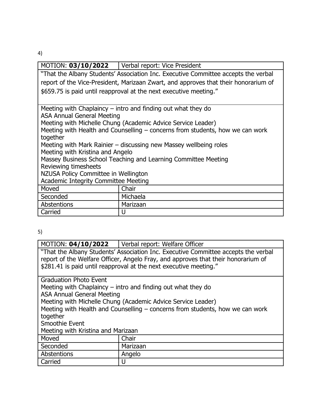4)

|                                                                                     | MOTION: 03/10/2022   Verbal report: Vice President |  |
|-------------------------------------------------------------------------------------|----------------------------------------------------|--|
| "That the Albany Students' Association Inc. Executive Committee accepts the verbal  |                                                    |  |
| report of the Vice-President, Marizaan Zwart, and approves that their honorarium of |                                                    |  |
| \$659.75 is paid until reapproval at the next executive meeting."                   |                                                    |  |
|                                                                                     |                                                    |  |
| Meeting with Chaplaincy $-$ intro and finding out what they do                      |                                                    |  |
| <b>ASA Annual General Meeting</b>                                                   |                                                    |  |
| Meeting with Michelle Chung (Academic Advice Service Leader)                        |                                                    |  |
| Meeting with Health and Counselling - concerns from students, how we can work       |                                                    |  |
| together                                                                            |                                                    |  |
| Meeting with Mark Rainier – discussing new Massey wellbeing roles                   |                                                    |  |
| Meeting with Kristina and Angelo                                                    |                                                    |  |
| Massey Business School Teaching and Learning Committee Meeting                      |                                                    |  |
| Reviewing timesheets                                                                |                                                    |  |
| NZUSA Policy Committee in Wellington                                                |                                                    |  |
| <b>Academic Integrity Committee Meeting</b>                                         |                                                    |  |
| Moved                                                                               | Chair                                              |  |
| Seconded                                                                            | Michaela                                           |  |
| Abstentions                                                                         | Marizaan                                           |  |
| Carried                                                                             | U                                                  |  |

5)

|                                                                                    | MOTION: 04/10/2022   Verbal report: Welfare Officer          |  |  |
|------------------------------------------------------------------------------------|--------------------------------------------------------------|--|--|
| "That the Albany Students' Association Inc. Executive Committee accepts the verbal |                                                              |  |  |
| report of the Welfare Officer, Angelo Fray, and approves that their honorarium of  |                                                              |  |  |
| \$281.41 is paid until reapproval at the next executive meeting."                  |                                                              |  |  |
|                                                                                    |                                                              |  |  |
| <b>Graduation Photo Event</b>                                                      |                                                              |  |  |
| Meeting with Chaplaincy $-$ intro and finding out what they do                     |                                                              |  |  |
| <b>ASA Annual General Meeting</b>                                                  |                                                              |  |  |
|                                                                                    | Meeting with Michelle Chung (Academic Advice Service Leader) |  |  |
| Meeting with Health and Counselling - concerns from students, how we can work      |                                                              |  |  |
| together                                                                           |                                                              |  |  |
| Smoothie Event                                                                     |                                                              |  |  |
|                                                                                    |                                                              |  |  |
| Meeting with Kristina and Marizaan                                                 |                                                              |  |  |
| Moved                                                                              | Chair                                                        |  |  |
| Seconded                                                                           | Marizaan                                                     |  |  |
| Abstentions                                                                        | Angelo                                                       |  |  |
| Carried                                                                            | IJ                                                           |  |  |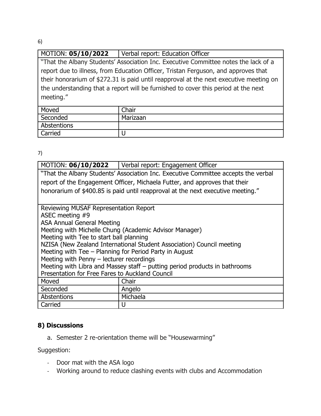6)

# MOTION: **05/10/2022** Verbal report: Education Officer

"That the Albany Students' Association Inc. Executive Committee notes the lack of a report due to illness, from Education Officer, Tristan Ferguson, and approves that their honorarium of \$272.31 is paid until reapproval at the next executive meeting on the understanding that a report will be furnished to cover this period at the next meeting."

| Moved       | Chair    |
|-------------|----------|
| Seconded    | Marizaan |
| Abstentions |          |
| Carried     |          |

7)

| MOTION: 06/10/2022                                                                 | Verbal report: Engagement Officer                      |  |
|------------------------------------------------------------------------------------|--------------------------------------------------------|--|
| "That the Albany Students' Association Inc. Executive Committee accepts the verbal |                                                        |  |
| report of the Engagement Officer, Michaela Futter, and approves that their         |                                                        |  |
| honorarium of \$400.85 is paid until reapproval at the next executive meeting."    |                                                        |  |
|                                                                                    |                                                        |  |
| Reviewing MUSAF Representation Report                                              |                                                        |  |
| ASEC meeting #9                                                                    |                                                        |  |
| <b>ASA Annual General Meeting</b>                                                  |                                                        |  |
|                                                                                    | Meeting with Michelle Chung (Academic Advisor Manager) |  |
| Meeting with Tee to start ball planning                                            |                                                        |  |
| NZISA (New Zealand International Student Association) Council meeting              |                                                        |  |
| Meeting with Tee - Planning for Period Party in August                             |                                                        |  |
| Meeting with Penny - lecturer recordings                                           |                                                        |  |
| Meeting with Libra and Massey staff – putting period products in bathrooms         |                                                        |  |
| Presentation for Free Fares to Auckland Council                                    |                                                        |  |
| Moved                                                                              | Chair                                                  |  |
| Seconded                                                                           | Angelo                                                 |  |
| Abstentions                                                                        | Michaela                                               |  |
| Carried                                                                            | U                                                      |  |

## **8) Discussions**

a. Semester 2 re-orientation theme will be "Housewarming"

Suggestion:

- Door mat with the ASA logo
- Working around to reduce clashing events with clubs and Accommodation